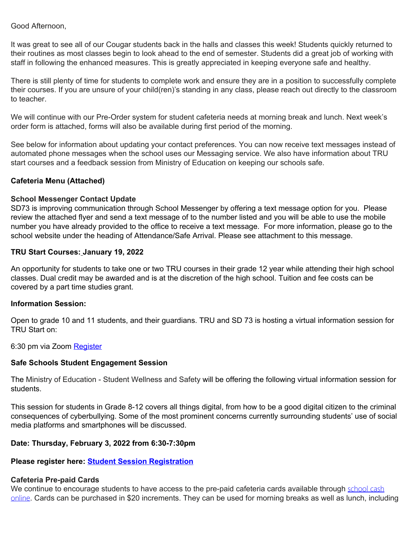Good Afternoon,

It was great to see all of our Cougar students back in the halls and classes this week! Students quickly returned to their routines as most classes begin to look ahead to the end of semester. Students did a great job of working with staff in following the enhanced measures. This is greatly appreciated in keeping everyone safe and healthy.

There is still plenty of time for students to complete work and ensure they are in a position to successfully complete their courses. If you are unsure of your child(ren)'s standing in any class, please reach out directly to the classroom to teacher.

We will continue with our Pre-Order system for student cafeteria needs at morning break and lunch. Next week's order form is attached, forms will also be available during first period of the morning.

See below for information about updating your contact preferences. You can now receive text messages instead of automated phone messages when the school uses our Messaging service. We also have information about TRU start courses and a feedback session from Ministry of Education on keeping our schools safe.

## **Cafeteria Menu (Attached)**

## **School Messenger Contact Update**

SD73 is improving communication through School Messenger by offering a text message option for you. Please review the attached flyer and send a text message of to the number listed and you will be able to use the mobile number you have already provided to the office to receive a text message. For more information, please go to the school website under the heading of Attendance/Safe Arrival. Please see attachment to this message.

## **TRU Start Courses: January 19, 2022**

An opportunity for students to take one or two TRU courses in their grade 12 year while attending their high school classes. Dual credit may be awarded and is at the discretion of the high school. Tuition and fee costs can be covered by a part time studies grant.

## **Information Session:**

Open to grade 10 and 11 students, and their guardians. TRU and SD 73 is hosting a virtual information session for TRU Start on:

6:30 pm via Zoom [Register](https://elink.clickdimensions.com/c/7/eyJhaSI6NTMwMDAyOTYsImUiOiJrZmVubmVsbEBzZDczLmJjLmNhIiwicmkiOiJjb250YWN0LTVjMTEzNjQ2NWQyY2VjMTFiNmU2MDAyMjQ4M2MxN2NiLTQ2ZDBmMzY5YjBmODQ1ZDg5N2EwMGQ4N2FjNzdjZmU5IiwicnEiOiIwMi1iMjIwMTMtMTY5MzRkMGRiNWQzNGZkNzlmYTRmNTRjZDVlYzBjZjYiLCJwaCI6bnVsbCwibSI6ZmFsc2UsInVpIjoiNSIsInVuIjoiIiwidSI6Imh0dHBzOi8vdHJ1LWNhLnpvb20udXMvd2ViaW5hci9yZWdpc3Rlci9XTl9nSEJteWlnUFRYT2p3M3NBVFlOQkFBP19jbGRlZT1hMlpsYm01bGJHeEFjMlEzTXk1aVl5NWpZUSUzZCUzZCZyZWNpcGllbnRpZD1jb250YWN0LTVjMTEzNjQ2NWQyY2VjMTFiNmU2MDAyMjQ4M2MxN2NiLTQ2ZDBmMzY5YjBmODQ1ZDg5N2EwMGQ4N2FjNzdjZmU5JnV0bV9zb3VyY2U9Q2xpY2tEaW1lbnNpb25zJnV0bV9tZWRpdW09ZW1haWwmdXRtX2NhbXBhaWduPUZTTyUyMC0lMjBUUlUlMjBTdGFydCUyMDIwMjItMjAyMyZlc2lkPTU4YjNmMGVlLWQxNzMtZWMxMS04OTQzLTAwMGQzYWZmNDBiYSJ9/UG1I4aO3-kFNIa0PIBvw1Q)

## **Safe Schools Student Engagement Session**

The Ministry of Education - Student Wellness and Safety will be offering the following virtual information session for students.

This session for students in Grade 8-12 covers all things digital, from how to be a good digital citizen to the criminal consequences of cyberbullying. Some of the most prominent concerns currently surrounding students' use of social media platforms and smartphones will be discussed.

## **Date: Thursday, February 3, 2022 from 6:30-7:30pm**

## **Please register here: [Student Session Registration](https://event-wizard.com/events/SocialMediaAwarenessStudentFeb32022pm/%20)**

## **Cafeteria Pre-paid Cards**

We continue to encourage students to have access to the pre-paid cafeteria cards available through [school cash](https://sd73.schoolcashonline.com/) [online](https://sd73.schoolcashonline.com/). Cards can be purchased in \$20 increments. They can be used for morning breaks as well as lunch, including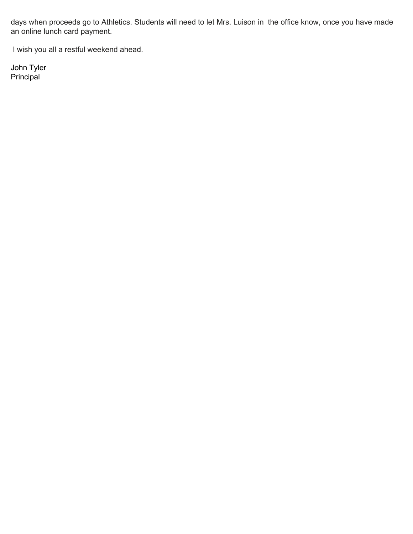days when proceeds go to Athletics. Students will need to let Mrs. Luison in the office know, once you have made an online lunch card payment.

I wish you all a restful weekend ahead.

John Tyler Principal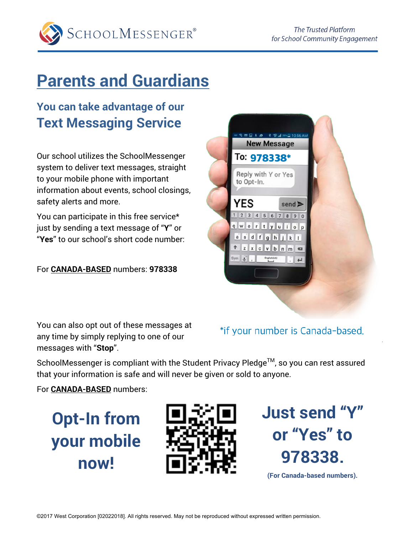

# **Parents and Guardians**

## **You can take advantage of our Text Messaging Service**

Our school utilizes the SchoolMessenger system to deliver text messages, straight to your mobile phone with important information about events, school closings, safety alerts and more.

You can participate in this free service\* just by sending a text message of "**Y**" or "**Yes**" to our school's short code number:

For **CANADA-BASED** numbers: **978338**



You can also opt out of these messages at any time by simply replying to one of our messages with "**Stop**".

## \*if your number is Canada-based.

SchoolMessenger is compliant with the Student Privacy Pledge™, so you can rest assured that your information is safe and will never be given or sold to anyone.

For **CANADA-BASED** numbers:

**Opt-In from your mobile now!**



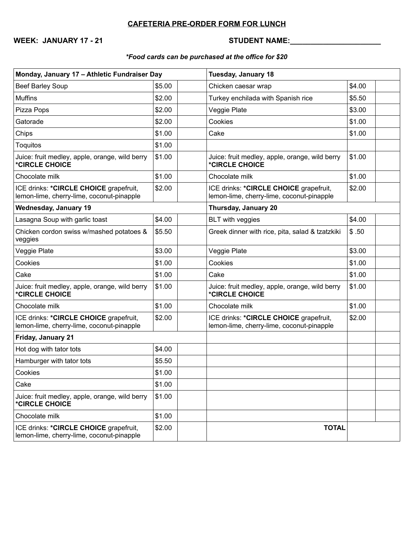## **CAFETERIA PRE-ORDER FORM FOR LUNCH**

**WEEK: JANUARY 17 - 21 STUDENT NAME:\_\_\_\_\_\_\_\_\_\_\_\_\_\_\_\_\_\_\_\_\_\_**

## *\*Food cards can be purchased at the office for \$20*

| Monday, January 17 - Athletic Fundraiser Day                                        |        | <b>Tuesday, January 18</b>                                                          |        |  |
|-------------------------------------------------------------------------------------|--------|-------------------------------------------------------------------------------------|--------|--|
| Beef Barley Soup                                                                    | \$5.00 | Chicken caesar wrap                                                                 | \$4.00 |  |
| <b>Muffins</b>                                                                      | \$2.00 | Turkey enchilada with Spanish rice                                                  | \$5.50 |  |
| Pizza Pops                                                                          | \$2.00 | Veggie Plate                                                                        | \$3.00 |  |
| Gatorade                                                                            | \$2.00 | Cookies                                                                             | \$1.00 |  |
| Chips                                                                               | \$1.00 | Cake                                                                                | \$1.00 |  |
| Toquitos                                                                            | \$1.00 |                                                                                     |        |  |
| Juice: fruit medley, apple, orange, wild berry<br>*CIRCLE CHOICE                    | \$1.00 | Juice: fruit medley, apple, orange, wild berry<br>*CIRCLE CHOICE                    | \$1.00 |  |
| Chocolate milk                                                                      | \$1.00 | Chocolate milk                                                                      | \$1.00 |  |
| ICE drinks: *CIRCLE CHOICE grapefruit,<br>lemon-lime, cherry-lime, coconut-pinapple | \$2.00 | ICE drinks: *CIRCLE CHOICE grapefruit,<br>lemon-lime, cherry-lime, coconut-pinapple | \$2.00 |  |
| <b>Wednesday, January 19</b>                                                        |        | Thursday, January 20                                                                |        |  |
| Lasagna Soup with garlic toast                                                      | \$4.00 | <b>BLT</b> with veggies                                                             | \$4.00 |  |
| Chicken cordon swiss w/mashed potatoes &<br>veggies                                 | \$5.50 | Greek dinner with rice, pita, salad & tzatzkiki                                     | \$.50  |  |
| Veggie Plate                                                                        | \$3.00 | Veggie Plate                                                                        | \$3.00 |  |
| Cookies                                                                             | \$1.00 | Cookies                                                                             | \$1.00 |  |
| Cake                                                                                | \$1.00 | Cake                                                                                | \$1.00 |  |
| Juice: fruit medley, apple, orange, wild berry<br>*CIRCLE CHOICE                    | \$1.00 | Juice: fruit medley, apple, orange, wild berry<br>*CIRCLE CHOICE                    | \$1.00 |  |
| Chocolate milk                                                                      | \$1.00 | Chocolate milk                                                                      | \$1.00 |  |
| ICE drinks: *CIRCLE CHOICE grapefruit,<br>lemon-lime, cherry-lime, coconut-pinapple | \$2.00 | ICE drinks: *CIRCLE CHOICE grapefruit,<br>lemon-lime, cherry-lime, coconut-pinapple | \$2.00 |  |
| Friday, January 21                                                                  |        |                                                                                     |        |  |
| Hot dog with tator tots                                                             | \$4.00 |                                                                                     |        |  |
| Hamburger with tator tots                                                           | \$5.50 |                                                                                     |        |  |
| Cookies                                                                             | \$1.00 |                                                                                     |        |  |
| Cake                                                                                | \$1.00 |                                                                                     |        |  |
| Juice: fruit medley, apple, orange, wild berry<br>*CIRCLE CHOICE                    | \$1.00 |                                                                                     |        |  |
| Chocolate milk                                                                      | \$1.00 |                                                                                     |        |  |
| ICE drinks: *CIRCLE CHOICE grapefruit,<br>lemon-lime, cherry-lime, coconut-pinapple | \$2.00 | <b>TOTAL</b>                                                                        |        |  |